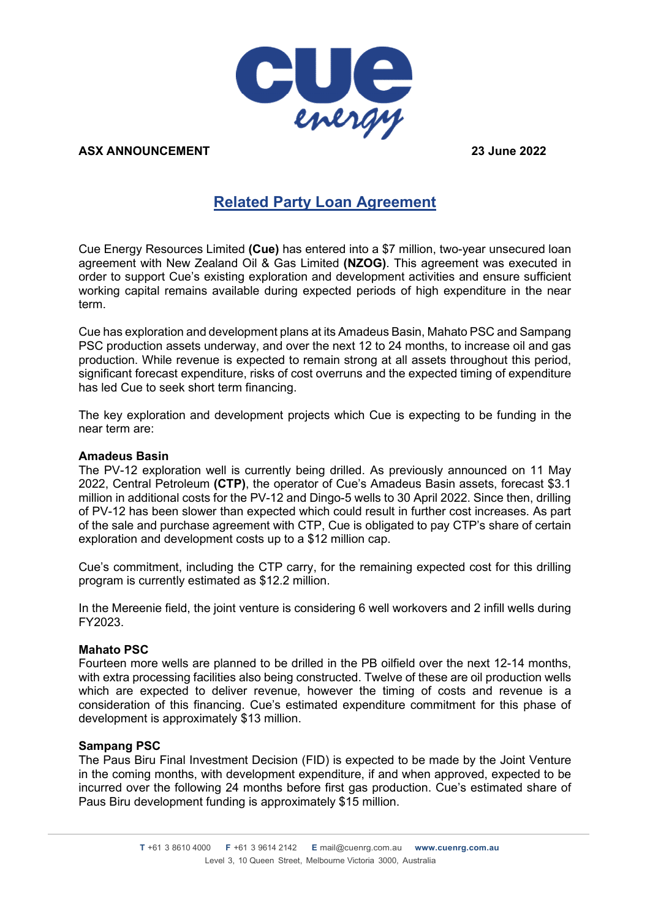

**ASX ANNOUNCEMENT 23 June 2022**

# **Related Party Loan Agreement**

Cue Energy Resources Limited **(Cue)** has entered into a \$7 million, two-year unsecured loan agreement with New Zealand Oil & Gas Limited **(NZOG)**. This agreement was executed in order to support Cue's existing exploration and development activities and ensure sufficient working capital remains available during expected periods of high expenditure in the near term.

Cue has exploration and development plans at its Amadeus Basin, Mahato PSC and Sampang PSC production assets underway, and over the next 12 to 24 months, to increase oil and gas production. While revenue is expected to remain strong at all assets throughout this period, significant forecast expenditure, risks of cost overruns and the expected timing of expenditure has led Cue to seek short term financing.

The key exploration and development projects which Cue is expecting to be funding in the near term are:

### **Amadeus Basin**

The PV-12 exploration well is currently being drilled. As previously announced on 11 May 2022, Central Petroleum **(CTP)**, the operator of Cue's Amadeus Basin assets, forecast \$3.1 million in additional costs for the PV-12 and Dingo-5 wells to 30 April 2022. Since then, drilling of PV-12 has been slower than expected which could result in further cost increases. As part of the sale and purchase agreement with CTP, Cue is obligated to pay CTP's share of certain exploration and development costs up to a \$12 million cap.

Cue's commitment, including the CTP carry, for the remaining expected cost for this drilling program is currently estimated as \$12.2 million.

In the Mereenie field, the joint venture is considering 6 well workovers and 2 infill wells during FY2023.

#### **Mahato PSC**

Fourteen more wells are planned to be drilled in the PB oilfield over the next 12-14 months, with extra processing facilities also being constructed. Twelve of these are oil production wells which are expected to deliver revenue, however the timing of costs and revenue is a consideration of this financing. Cue's estimated expenditure commitment for this phase of development is approximately \$13 million.

#### **Sampang PSC**

The Paus Biru Final Investment Decision (FID) is expected to be made by the Joint Venture in the coming months, with development expenditure, if and when approved, expected to be incurred over the following 24 months before first gas production. Cue's estimated share of Paus Biru development funding is approximately \$15 million.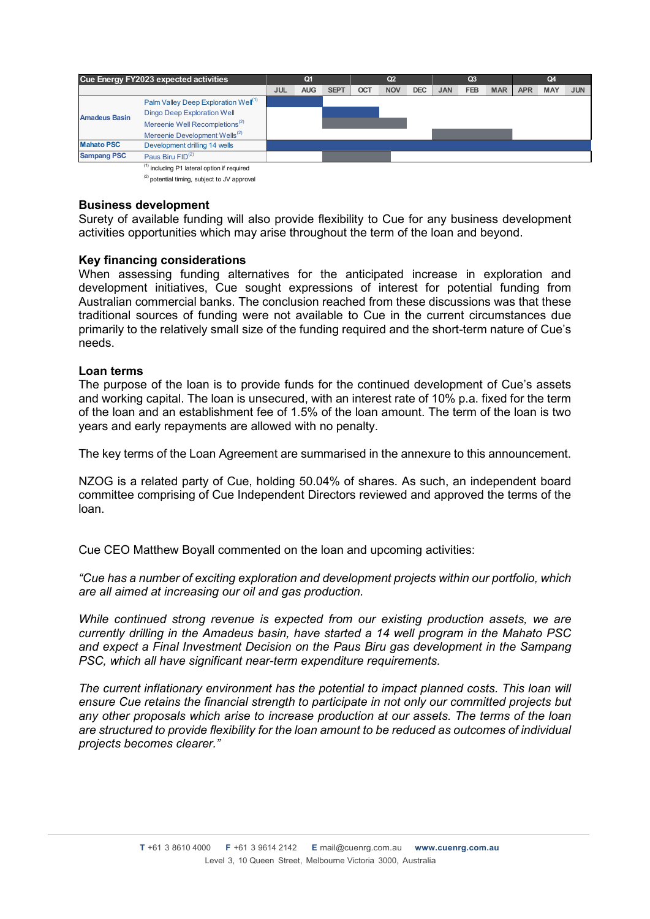| Cue Energy FY2023 expected activities |                                                        | Q <sub>1</sub> |            | Q <sub>2</sub> |            |            | Q <sub>3</sub> |            |            | Q4         |            |            |            |
|---------------------------------------|--------------------------------------------------------|----------------|------------|----------------|------------|------------|----------------|------------|------------|------------|------------|------------|------------|
|                                       |                                                        | <b>JUL</b>     | <b>AUG</b> | <b>SEPT</b>    | <b>OCT</b> | <b>NOV</b> | <b>DEC</b>     | <b>JAN</b> | <b>FEB</b> | <b>MAR</b> | <b>APR</b> | <b>MAY</b> | <b>JUN</b> |
|                                       | Palm Valley Deep Exploration Well <sup>(1)</sup>       |                |            |                |            |            |                |            |            |            |            |            |            |
| <b>Amadeus Basin</b>                  | <b>Dingo Deep Exploration Well</b>                     |                |            |                |            |            |                |            |            |            |            |            |            |
|                                       | Mereenie Well Recompletions <sup>(2)</sup>             |                |            |                |            |            |                |            |            |            |            |            |            |
|                                       | Mereenie Development Wells <sup>(2)</sup>              |                |            |                |            |            |                |            |            |            |            |            |            |
| <b>Mahato PSC</b>                     | Development drilling 14 wells                          |                |            |                |            |            |                |            |            |            |            |            |            |
| <b>Sampang PSC</b>                    | Paus Biru FID <sup>(2)</sup>                           |                |            |                |            |            |                |            |            |            |            |            |            |
|                                       | <sup>(1)</sup> including P1 lateral option if required |                |            |                |            |            |                |            |            |            |            |            |            |

 $(2)$  potential timing, subject to JV approval

#### **Business development**

Surety of available funding will also provide flexibility to Cue for any business development activities opportunities which may arise throughout the term of the loan and beyond.

### **Key financing considerations**

When assessing funding alternatives for the anticipated increase in exploration and development initiatives, Cue sought expressions of interest for potential funding from Australian commercial banks. The conclusion reached from these discussions was that these traditional sources of funding were not available to Cue in the current circumstances due primarily to the relatively small size of the funding required and the short-term nature of Cue's needs.

### **Loan terms**

The purpose of the loan is to provide funds for the continued development of Cue's assets and working capital. The loan is unsecured, with an interest rate of 10% p.a. fixed for the term of the loan and an establishment fee of 1.5% of the loan amount. The term of the loan is two years and early repayments are allowed with no penalty.

The key terms of the Loan Agreement are summarised in the annexure to this announcement.

NZOG is a related party of Cue, holding 50.04% of shares. As such, an independent board committee comprising of Cue Independent Directors reviewed and approved the terms of the loan.

Cue CEO Matthew Boyall commented on the loan and upcoming activities:

*"Cue has a number of exciting exploration and development projects within our portfolio, which are all aimed at increasing our oil and gas production.* 

*While continued strong revenue is expected from our existing production assets, we are currently drilling in the Amadeus basin, have started a 14 well program in the Mahato PSC and expect a Final Investment Decision on the Paus Biru gas development in the Sampang PSC, which all have significant near-term expenditure requirements.* 

*The current inflationary environment has the potential to impact planned costs. This loan will ensure Cue retains the financial strength to participate in not only our committed projects but any other proposals which arise to increase production at our assets. The terms of the loan are structured to provide flexibility for the loan amount to be reduced as outcomes of individual projects becomes clearer."*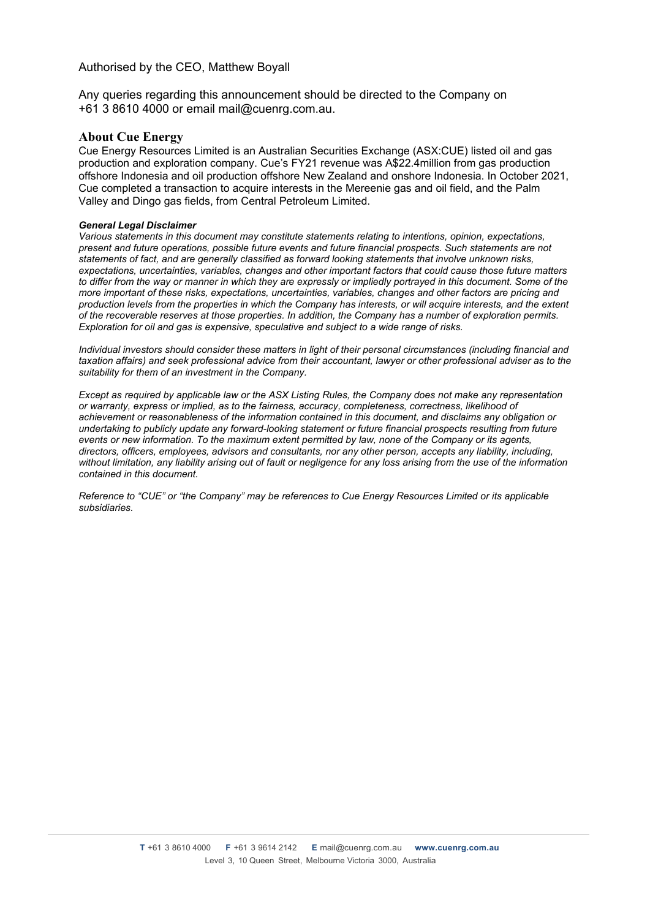#### Authorised by the CEO, Matthew Boyall

Any queries regarding this announcement should be directed to the Company on +61 3 8610 4000 or email mail@cuenrg.com.au.

#### **About Cue Energy**

Cue Energy Resources Limited is an Australian Securities Exchange (ASX:CUE) listed oil and gas production and exploration company. Cue's FY21 revenue was A\$22.4million from gas production offshore Indonesia and oil production offshore New Zealand and onshore Indonesia. In October 2021, Cue completed a transaction to acquire interests in the Mereenie gas and oil field, and the Palm Valley and Dingo gas fields, from Central Petroleum Limited.

#### *General Legal Disclaimer*

*Various statements in this document may constitute statements relating to intentions, opinion, expectations, present and future operations, possible future events and future financial prospects. Such statements are not statements of fact, and are generally classified as forward looking statements that involve unknown risks, expectations, uncertainties, variables, changes and other important factors that could cause those future matters to differ from the way or manner in which they are expressly or impliedly portrayed in this document. Some of the more important of these risks, expectations, uncertainties, variables, changes and other factors are pricing and production levels from the properties in which the Company has interests, or will acquire interests, and the extent of the recoverable reserves at those properties. In addition, the Company has a number of exploration permits. Exploration for oil and gas is expensive, speculative and subject to a wide range of risks.* 

*Individual investors should consider these matters in light of their personal circumstances (including financial and taxation affairs) and seek professional advice from their accountant, lawyer or other professional adviser as to the suitability for them of an investment in the Company.* 

*Except as required by applicable law or the ASX Listing Rules, the Company does not make any representation or warranty, express or implied, as to the fairness, accuracy, completeness, correctness, likelihood of achievement or reasonableness of the information contained in this document, and disclaims any obligation or undertaking to publicly update any forward-looking statement or future financial prospects resulting from future events or new information. To the maximum extent permitted by law, none of the Company or its agents, directors, officers, employees, advisors and consultants, nor any other person, accepts any liability, including, without limitation, any liability arising out of fault or negligence for any loss arising from the use of the information contained in this document.* 

*Reference to "CUE" or "the Company" may be references to Cue Energy Resources Limited or its applicable subsidiaries.*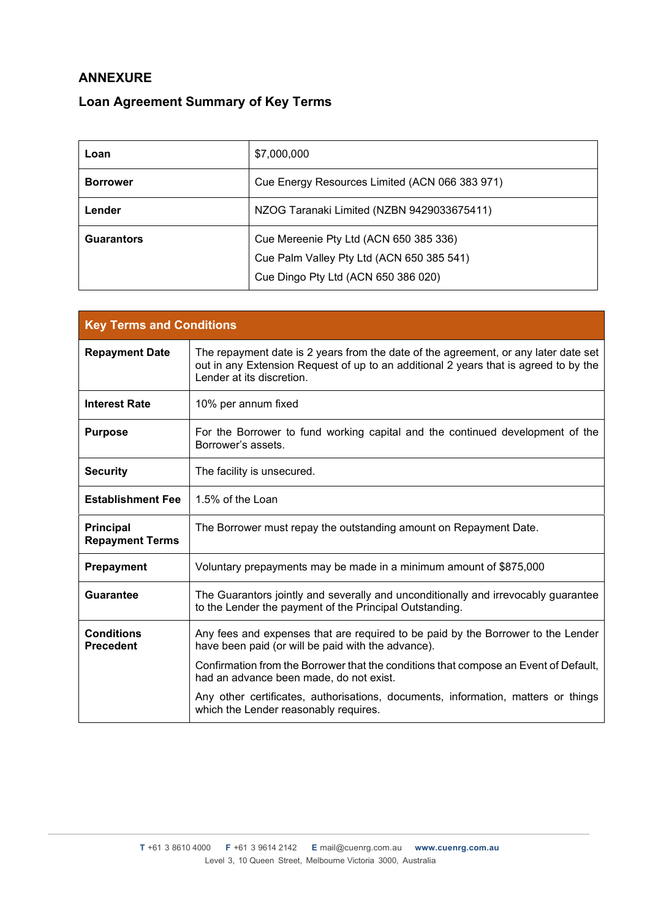## **ANNEXURE**

## **Loan Agreement Summary of Key Terms**

| Loan              | \$7,000,000                                    |
|-------------------|------------------------------------------------|
| <b>Borrower</b>   | Cue Energy Resources Limited (ACN 066 383 971) |
| Lender            | NZOG Taranaki Limited (NZBN 9429033675411)     |
| <b>Guarantors</b> | Cue Mereenie Pty Ltd (ACN 650 385 336)         |
|                   | Cue Palm Valley Pty Ltd (ACN 650 385 541)      |
|                   | Cue Dingo Pty Ltd (ACN 650 386 020)            |

| <b>Key Terms and Conditions</b>            |                                                                                                                                                                                                          |  |
|--------------------------------------------|----------------------------------------------------------------------------------------------------------------------------------------------------------------------------------------------------------|--|
| <b>Repayment Date</b>                      | The repayment date is 2 years from the date of the agreement, or any later date set<br>out in any Extension Request of up to an additional 2 years that is agreed to by the<br>Lender at its discretion. |  |
| <b>Interest Rate</b>                       | 10% per annum fixed                                                                                                                                                                                      |  |
| <b>Purpose</b>                             | For the Borrower to fund working capital and the continued development of the<br>Borrower's assets.                                                                                                      |  |
| <b>Security</b>                            | The facility is unsecured.                                                                                                                                                                               |  |
| <b>Establishment Fee</b>                   | 1.5% of the Loan                                                                                                                                                                                         |  |
| <b>Principal</b><br><b>Repayment Terms</b> | The Borrower must repay the outstanding amount on Repayment Date.                                                                                                                                        |  |
| <b>Prepayment</b>                          | Voluntary prepayments may be made in a minimum amount of \$875,000                                                                                                                                       |  |
| <b>Guarantee</b>                           | The Guarantors jointly and severally and unconditionally and irrevocably guarantee<br>to the Lender the payment of the Principal Outstanding.                                                            |  |
| <b>Conditions</b><br><b>Precedent</b>      | Any fees and expenses that are required to be paid by the Borrower to the Lender<br>have been paid (or will be paid with the advance).                                                                   |  |
|                                            | Confirmation from the Borrower that the conditions that compose an Event of Default,<br>had an advance been made, do not exist.                                                                          |  |
|                                            | Any other certificates, authorisations, documents, information, matters or things<br>which the Lender reasonably requires.                                                                               |  |